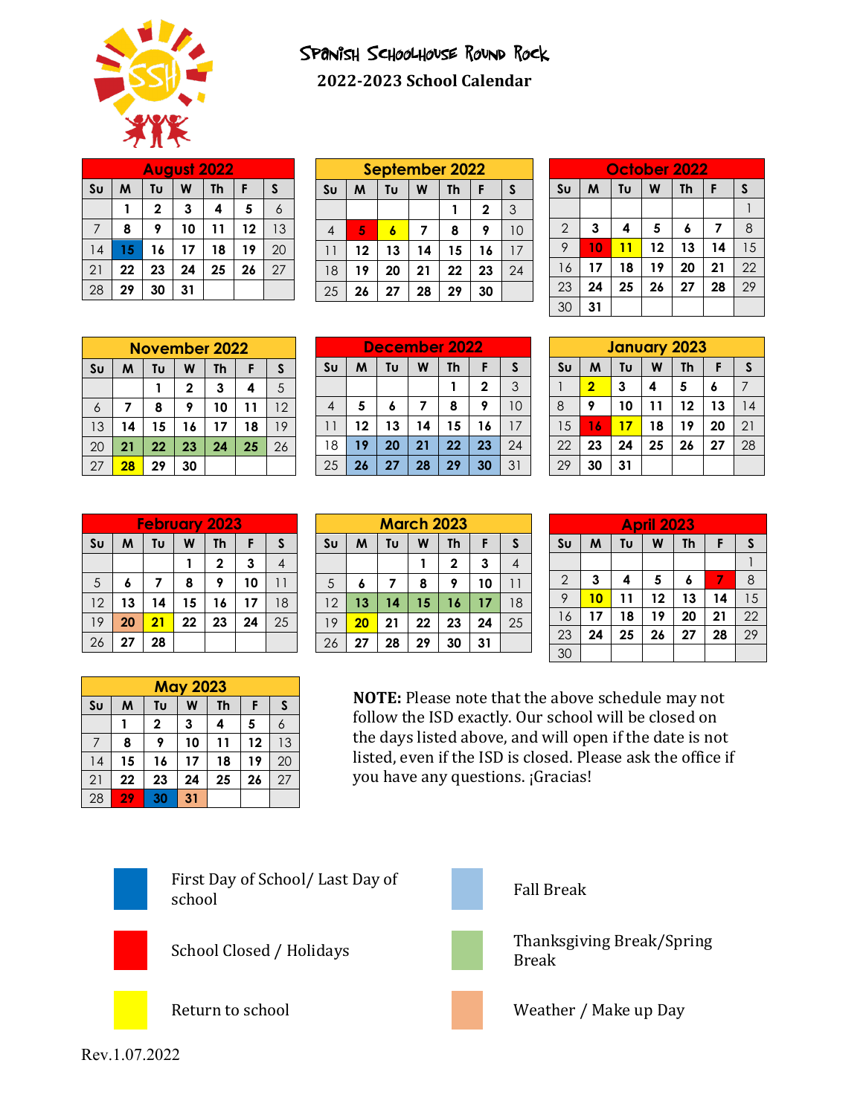

## Spanish Schoolhouse Round Rock **2022-2023 School Calendar**

| <b>August 2022</b> |    |                         |    |    |    |    |  |  |  |
|--------------------|----|-------------------------|----|----|----|----|--|--|--|
| S <sub>U</sub>     | M  | S<br>W<br>F<br>Tυ<br>Th |    |    |    |    |  |  |  |
|                    |    | $\mathbf{2}$            | 3  | 4  | 5  | 6  |  |  |  |
|                    | 8  | 9                       | 10 | 11 | 12 | 13 |  |  |  |
| 14                 | 15 | 16                      | 17 | 18 | 19 | 20 |  |  |  |
| 21                 | 22 | 23                      | 24 | 25 | 26 | 27 |  |  |  |
| 28                 | 29 | 30                      | 31 |    |    |    |  |  |  |

| September 2022               |    |    |    |              |    |  |  |  |
|------------------------------|----|----|----|--------------|----|--|--|--|
| M<br>Tυ<br>Th<br>W<br>F<br>S |    |    |    |              |    |  |  |  |
|                              |    |    |    | $\mathbf{2}$ | 3  |  |  |  |
| 5                            |    |    | 8  | 9            | 10 |  |  |  |
| 12                           | 13 | 14 | 15 | 16           | 17 |  |  |  |
| 19                           | 20 | 21 | 22 | 23           | 24 |  |  |  |
| 26                           | 27 | 28 | 29 | 30           |    |  |  |  |
|                              |    |    |    |              |    |  |  |  |

| October 2022   |                              |    |    |    |    |    |  |  |  |
|----------------|------------------------------|----|----|----|----|----|--|--|--|
| S <sub>U</sub> | M<br>Tυ<br>W<br>S<br>F<br>Th |    |    |    |    |    |  |  |  |
|                |                              |    |    |    |    |    |  |  |  |
| $\overline{2}$ | 3                            | 4  | 5  | 6  | 7  | 8  |  |  |  |
| 9              | 10                           | 11 | 12 | 13 | 14 | 15 |  |  |  |
| 16             | 17                           | 18 | 19 | 20 | 21 | 22 |  |  |  |
| 23             | 24                           | 25 | 26 | 27 | 28 | 29 |  |  |  |
| 30             | 31                           |    |    |    |    |    |  |  |  |

|    | <b>November 2022</b>    |    |              |    |    |    |  |  |  |
|----|-------------------------|----|--------------|----|----|----|--|--|--|
| Su | Tυ<br>W<br>Th<br>M<br>F |    |              |    |    |    |  |  |  |
|    |                         |    | $\mathbf{2}$ | 3  | 4  | 5  |  |  |  |
| 6  |                         | 8  | 9            | 10 | 11 | 12 |  |  |  |
| 13 | 14                      | 15 | 16           | 17 | 18 | 19 |  |  |  |
| 20 | 21                      | 22 | 23           | 24 | 25 | 26 |  |  |  |
| 27 | 28                      | 29 | 30           |    |    |    |  |  |  |

| December 2022  |                              |    |    |    |             |    |  |  |
|----------------|------------------------------|----|----|----|-------------|----|--|--|
| S <sub>U</sub> | S<br>M<br>Tυ<br>F<br>Th<br>W |    |    |    |             |    |  |  |
|                |                              |    |    |    | $\mathbf 2$ | 3  |  |  |
| 4              | 5                            | 6  |    | 8  |             | 10 |  |  |
| 11             | 12                           | 13 | 14 | 15 | 16          | 17 |  |  |
| 18             | 19                           | 20 | 21 | 22 | 23          | 24 |  |  |
| 25             | 26                           | 27 | 28 | 29 | 30          | 31 |  |  |

| <b>January 2023</b> |                              |    |    |    |    |    |  |  |  |
|---------------------|------------------------------|----|----|----|----|----|--|--|--|
| S <sub>U</sub>      | S<br>М<br>W<br>Tυ<br>Th<br>F |    |    |    |    |    |  |  |  |
|                     | $\overline{\mathbf{2}}$      | 3  | 4  | 5  | 6  |    |  |  |  |
| 8                   | 9                            | 10 | 11 | 12 | 13 | 14 |  |  |  |
| 15                  | 16                           | 17 | 18 | 19 | 20 | 21 |  |  |  |
| 22                  | 23                           | 24 | 25 | 26 | 27 | 28 |  |  |  |
| 29                  | 30                           | 31 |    |    |    |    |  |  |  |

| <b>February 2023</b> |                              |    |    |              |    |    |  |  |
|----------------------|------------------------------|----|----|--------------|----|----|--|--|
| Su                   | M<br>W<br>Tυ<br>Th<br>S<br>F |    |    |              |    |    |  |  |
|                      |                              |    |    | $\mathbf{2}$ | 3  |    |  |  |
| 5                    | 6                            |    | 8  | 9            | 10 | 11 |  |  |
| 12                   | 13                           | 14 | 15 | 16           | 17 | 18 |  |  |
| 19                   | 20                           | 21 | 22 | 23           | 24 | 25 |  |  |
| 26                   | 27                           | 28 |    |              |    |    |  |  |

| <b>March 2023</b> |                              |    |    |              |    |    |  |  |
|-------------------|------------------------------|----|----|--------------|----|----|--|--|
| S <sub>U</sub>    | Tυ<br>W<br>Th<br>M<br>F<br>S |    |    |              |    |    |  |  |
|                   |                              |    |    | $\mathbf{2}$ | 3  |    |  |  |
| 5                 | 6                            | 7  | 8  | 9            | 10 |    |  |  |
| 12                | 13                           | 14 | 15 | 16           | 17 | 18 |  |  |
| 19                | 20                           | 21 | 22 | 23           | 24 | 25 |  |  |
| 26                | 27                           | 28 | 29 | 30           | 31 |    |  |  |

| <b>April 2023</b> |                              |    |    |    |    |    |  |  |  |
|-------------------|------------------------------|----|----|----|----|----|--|--|--|
| Su                | Tu<br>M<br>W<br>Th<br>S<br>F |    |    |    |    |    |  |  |  |
|                   |                              |    |    |    |    |    |  |  |  |
| $\mathbf{2}$      | 3                            | 4  | 5  | 6  |    | 8  |  |  |  |
| 9                 | 10                           | 11 | 12 | 13 | 14 | 15 |  |  |  |
| 16                | 17                           | 18 | 19 | 20 | 21 | 22 |  |  |  |
| 23                | 24                           | 25 | 26 | 27 | 28 | 29 |  |  |  |
| 30                |                              |    |    |    |    |    |  |  |  |

|                | <b>May 2023</b> |             |    |    |    |    |  |  |  |  |
|----------------|-----------------|-------------|----|----|----|----|--|--|--|--|
| S <sub>U</sub> | M               | Tυ          | W  | Th | F  | S  |  |  |  |  |
|                |                 | $\mathbf 2$ | 3  | 4  | 5  | 6  |  |  |  |  |
|                | 8               | 9           | 10 | 11 | 12 | 13 |  |  |  |  |
| 14             | 15              | 16          | 17 | 18 | 19 | 20 |  |  |  |  |
| 21             | 22              | 23          | 24 | 25 | 26 | 27 |  |  |  |  |
| 28             | 29              | 30          | 31 |    |    |    |  |  |  |  |

**NOTE:** Please note that the above schedule may not follow the ISD exactly. Our school will be closed on the days listed above, and will open if the date is not listed, even if the ISD is closed. Please ask the office if you have any questions. ¡Gracias!



First Day of School/ Last Day of school is a contract of the school of the school of the school of the school of the school of the school of th









School Closed / Holidays Thanksgiving Break/Spring Break

Return to school Weather / Make up Day

Rev.1.07.2022